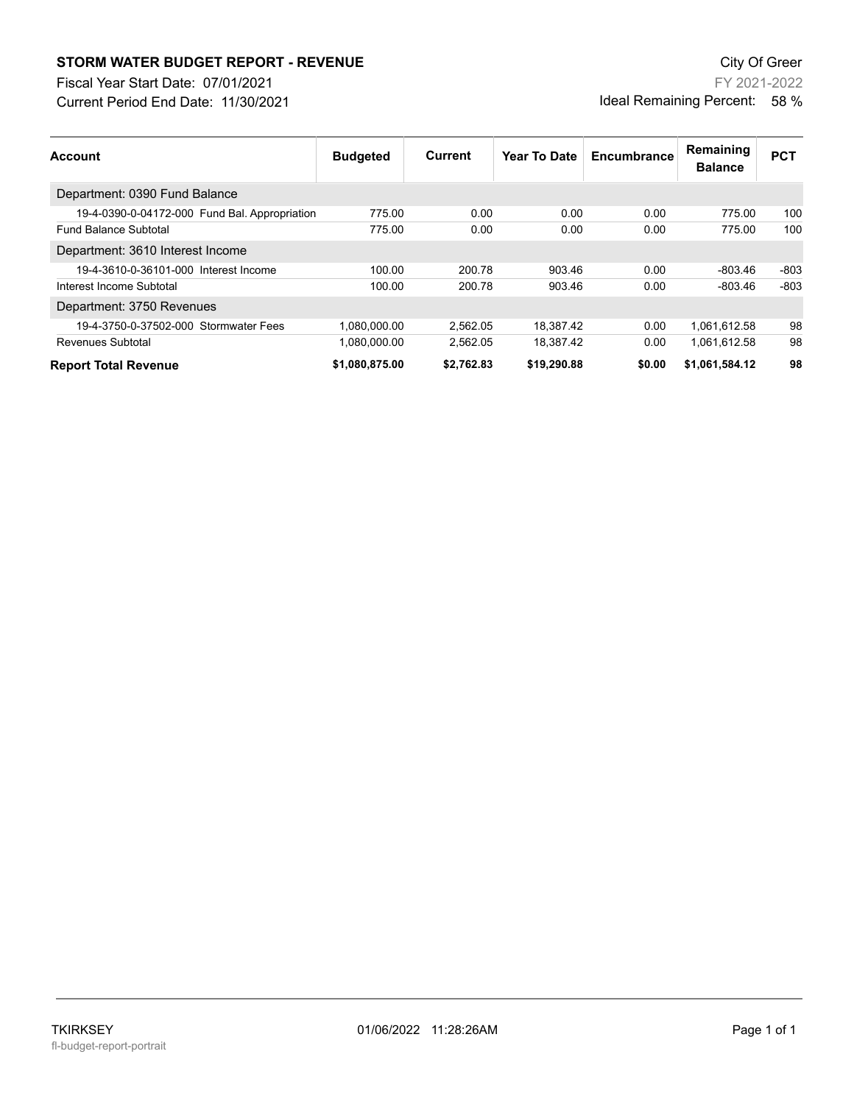## **STORM WATER BUDGET REPORT - REVENUE CONSUMPTER BUDGET REPORT - REVENUE**

Current Period End Date: 11/30/2021 Fiscal Year Start Date: 07/01/2021

FY 2021-2022 Ideal Remaining Percent: 58 %

| <b>Account</b>                                | <b>Budgeted</b> | Current    | Year To Date | Encumbrance | Remaining<br><b>Balance</b> | <b>PCT</b> |
|-----------------------------------------------|-----------------|------------|--------------|-------------|-----------------------------|------------|
| Department: 0390 Fund Balance                 |                 |            |              |             |                             |            |
| 19-4-0390-0-04172-000 Fund Bal. Appropriation | 775.00          | 0.00       | 0.00         | 0.00        | 775.00                      | 100        |
| <b>Fund Balance Subtotal</b>                  | 775.00          | 0.00       | 0.00         | 0.00        | 775.00                      | 100        |
| Department: 3610 Interest Income              |                 |            |              |             |                             |            |
| 19-4-3610-0-36101-000 Interest Income         | 100.00          | 200.78     | 903.46       | 0.00        | -803.46                     | $-803$     |
| Interest Income Subtotal                      | 100.00          | 200.78     | 903.46       | 0.00        | $-803.46$                   | $-803$     |
| Department: 3750 Revenues                     |                 |            |              |             |                             |            |
| 19-4-3750-0-37502-000 Stormwater Fees         | 1.080.000.00    | 2.562.05   | 18.387.42    | 0.00        | 1,061,612.58                | 98         |
| Revenues Subtotal                             | 1.080.000.00    | 2.562.05   | 18.387.42    | 0.00        | 1,061,612.58                | 98         |
| <b>Report Total Revenue</b>                   | \$1,080,875.00  | \$2.762.83 | \$19,290.88  | \$0.00      | \$1,061,584.12              | 98         |